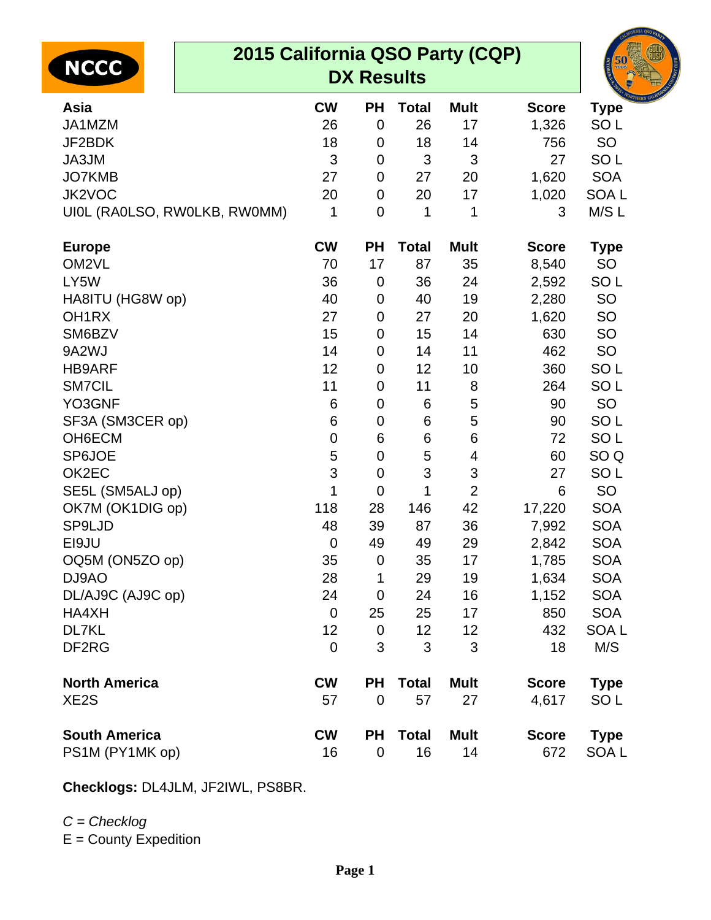| 2015 California QSO Party (CQP)<br><b>NCCC</b><br><b>DX Results</b> |             |                |              |                |              | 50               |
|---------------------------------------------------------------------|-------------|----------------|--------------|----------------|--------------|------------------|
| Asia                                                                | <b>CW</b>   | <b>PH</b>      | <b>Total</b> | <b>Mult</b>    | <b>Score</b> | <b>Type</b>      |
| JA1MZM                                                              | 26          | $\mathbf 0$    | 26           | 17             | 1,326        | SO <sub>L</sub>  |
| JF2BDK                                                              | 18          | 0              | 18           | 14             | 756          | SO               |
| JA3JM                                                               | 3           | 0              | 3            | 3              | 27           | SO <sub>L</sub>  |
| JO7KMB                                                              | 27          | 0              | 27           | 20             | 1,620        | <b>SOA</b>       |
| JK2VOC                                                              | 20          | 0              | 20           | 17             | 1,020        | SOA <sub>L</sub> |
| UIOL (RAOLSO, RWOLKB, RWOMM)                                        | 1           | $\overline{0}$ | 1            | 1              | 3            | M/SL             |
| <b>Europe</b>                                                       | <b>CW</b>   | <b>PH</b>      | <b>Total</b> | <b>Mult</b>    | <b>Score</b> | <b>Type</b>      |
| OM2VL                                                               | 70          | 17             | 87           | 35             | 8,540        | SO               |
| LY5W                                                                | 36          | 0              | 36           | 24             | 2,592        | SO <sub>L</sub>  |
| HA8ITU (HG8W op)                                                    | 40          | 0              | 40           | 19             | 2,280        | SO               |
| OH <sub>1RX</sub>                                                   | 27          | 0              | 27           | 20             | 1,620        | <b>SO</b>        |
| SM6BZV                                                              | 15          | 0              | 15           | 14             | 630          | <b>SO</b>        |
| 9A2WJ                                                               | 14          | 0              | 14           | 11             | 462          | SO               |
| <b>HB9ARF</b>                                                       | 12          | 0              | 12           | 10             | 360          | SO <sub>L</sub>  |
| <b>SM7CIL</b>                                                       | 11          | 0              | 11           | 8              | 264          | SO <sub>L</sub>  |
| YO3GNF                                                              | 6           | 0              | 6            | 5              | 90           | SO               |
| SF3A (SM3CER op)                                                    | 6           | 0              | 6            | 5              | 90           | SO <sub>L</sub>  |
| OH6ECM                                                              | 0           | 6              | 6            | 6              | 72           | SO <sub>L</sub>  |
| SP6JOE                                                              | 5           | 0              | 5            | 4              | 60           | SO <sub>Q</sub>  |
| OK2EC                                                               | 3           | $\pmb{0}$      | 3            | 3              | 27           | SO <sub>L</sub>  |
| SE5L (SM5ALJ op)                                                    | 1           | 0              | 1            | $\overline{2}$ | 6            | SO               |
| OK7M (OK1DIG op)                                                    | 118         | 28             | 146          | 42             | 17,220       | <b>SOA</b>       |
| <b>SP9LJD</b>                                                       | 48          | 39             | 87           | 36             | 7,992        | <b>SOA</b>       |
| EI9JU                                                               | $\mathbf 0$ | 49             | 49           | 29             | 2,842        | <b>SOA</b>       |
| OQ5M (ON5ZO op)                                                     | 35          | 0              | 35           | 17             | 1,785        | <b>SOA</b>       |
| DJ9AO                                                               | 28          | 1              | 29           | 19             | 1,634        | <b>SOA</b>       |
| DL/AJ9C (AJ9C op)                                                   | 24          | 0              | 24           | 16             | 1,152        | <b>SOA</b>       |
| HA4XH                                                               | $\mathbf 0$ | 25             | 25           | 17             | 850          | <b>SOA</b>       |
| DL7KL                                                               | 12          | 0              | 12           | 12             | 432          | SOA L            |
| DF <sub>2RG</sub>                                                   | 0           | 3              | 3            | 3              | 18           | M/S              |
| <b>North America</b>                                                | <b>CW</b>   | <b>PH</b>      | <b>Total</b> | <b>Mult</b>    | <b>Score</b> | Type             |

XE2S 57 0 57 27 4,617 SO L **South America CW PH Total Mult Score Type** PS1M (PY1MK op) 16 0 16 14 672 SOA L

**Checklogs:** DL4JLM, JF2IWL, PS8BR.

## $C =$ Checklog

E = County Expedition